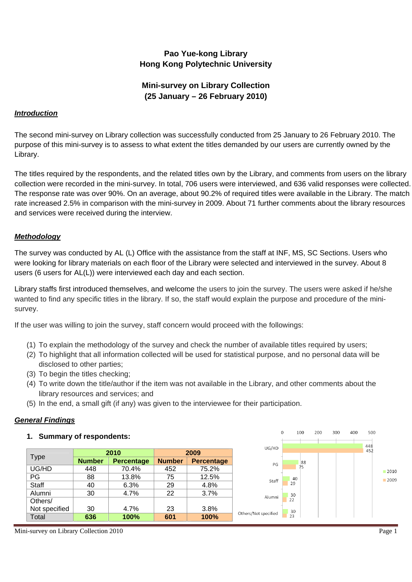# **Pao Yue-kong Library Hong Kong Polytechnic University**

# **Mini-survey on Library Collection (25 January – 26 February 2010)**

## *Introduction*

The second mini-survey on Library collection was successfully conducted from 25 January to 26 February 2010. The purpose of this mini-survey is to assess to what extent the titles demanded by our users are currently owned by the Library.

The titles required by the respondents, and the related titles own by the Library, and comments from users on the library collection were recorded in the mini-survey. In total, 706 users were interviewed, and 636 valid responses were collected. The response rate was over 90%. On an average, about 90.2% of required titles were available in the Library. The match rate increased 2.5% in comparison with the mini-survey in 2009. About 71 further comments about the library resources and services were received during the interview.

## *Methodology*

The survey was conducted by AL (L) Office with the assistance from the staff at INF, MS, SC Sections. Users who were looking for library materials on each floor of the Library were selected and interviewed in the survey. About 8 users (6 users for AL(L)) were interviewed each day and each section.

Library staffs first introduced themselves, and welcome the users to join the survey. The users were asked if he/she wanted to find any specific titles in the library. If so, the staff would explain the purpose and procedure of the minisurvey.

If the user was willing to join the survey, staff concern would proceed with the followings:

- (1) To explain the methodology of the survey and check the number of available titles required by users;
- (2) To highlight that all information collected will be used for statistical purpose, and no personal data will be disclosed to other parties;
- (3) To begin the titles checking;
- (4) To write down the title/author if the item was not available in the Library, and other comments about the library resources and services; and
- (5) In the end, a small gift (if any) was given to the interviewee for their participation.

## *General Findings*

#### **1. Summary of respondents:**

|               |               | 2010              | 2009          |                   |  |
|---------------|---------------|-------------------|---------------|-------------------|--|
| <b>Type</b>   | <b>Number</b> | <b>Percentage</b> | <b>Number</b> | <b>Percentage</b> |  |
| UG/HD         | 448           | 70.4%             | 452           | 75.2%             |  |
| PG            | 88            | 13.8%             | 75            | 12.5%             |  |
| Staff         | 40            | 6.3%              | 29            | 4.8%              |  |
| Alumni        | 30            | 4.7%              | 22            | 3.7%              |  |
| Others/       |               |                   |               |                   |  |
| Not specified | 30            | 4.7%              | 23            | 3.8%              |  |
| Total         | 636           | 100%              | 601           | 100%              |  |



Mini-survey on Library Collection 2010 Page 1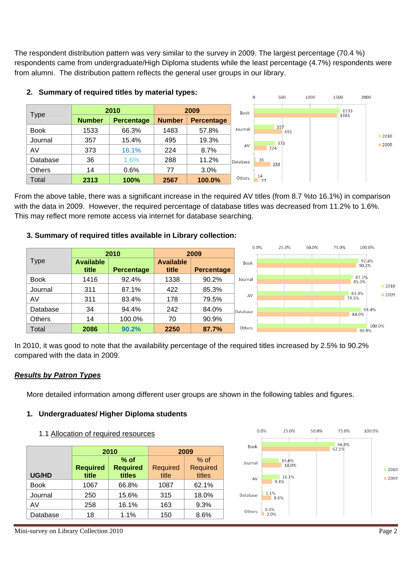The respondent distribution pattern was very similar to the survey in 2009. The largest percentage (70.4 %) respondents came from undergraduate/High Diploma students while the least percentage (4.7%) respondents were from alumni. The distribution pattern reflects the general user groups in our library.



### **2. Summary of required titles by material types:**

From the above table, there was a significant increase in the required AV titles (from 8.7 %to 16.1%) in comparison with the data in 2009. However, the required percentage of database titles was decreased from 11.2% to 1.6%. This may reflect more remote access via internet for database searching.

## **3. Summary of required titles available in Library collection:**

|               |                  |                   |                  |                   |          | $0.0\%$ | 25.0% | 50.0% | 75.0% |                | 100.0% |
|---------------|------------------|-------------------|------------------|-------------------|----------|---------|-------|-------|-------|----------------|--------|
|               |                  | 2010              |                  | 2009              |          |         |       |       |       |                |        |
| <b>Type</b>   | <b>Available</b> |                   | <b>Available</b> |                   | Book     |         |       |       |       | 92.4%<br>90.2% |        |
|               | title            | <b>Percentage</b> | title            | <b>Percentage</b> |          |         |       |       |       |                |        |
| <b>Book</b>   | 1416             | 92.4%             | 1338             | 90.2%             | Journal  |         |       |       |       | 87.1%<br>85.3% |        |
| Journal       | 311              | 87.1%             | 422              | 85.3%             |          |         |       |       |       | 83.4%          | 2010   |
| AV            | 311              | 83.4%             | 178              | 79.5%             | AV       |         |       |       |       | 79.5%          | 2009   |
| Database      | 34               | 94.4%             | 242              | 84.0%             | Database |         |       |       |       |                | 94.4%  |
| <b>Others</b> | 14               | 100.0%            | 70               | 90.9%             |          |         |       |       |       | 84.0%          |        |
| Total         | 2086             | 90.2%             | 2250             | 87.7%             | Others   |         |       |       |       | 90.9%          | 100.0% |

 $\sim$ 

 $-1 - 1$ 

 $-1 - 1 - 1$ 

 $- - - - -$ 

and and

In 2010, it was good to note that the availability percentage of the required titles increased by 2.5% to 90.2% compared with the data in 2009.

## *Results by Patron Types*

More detailed information among different user groups are shown in the following tables and figures.

## **1. Undergraduates/ Higher Diploma students**

## 1.1 Allocation of required resources

|             | 2010                     |                                     | 2009                     |                                     |  |
|-------------|--------------------------|-------------------------------------|--------------------------|-------------------------------------|--|
| UG/HD       | <b>Required</b><br>title | $%$ of<br><b>Required</b><br>titles | <b>Required</b><br>title | $%$ of<br><b>Required</b><br>titles |  |
| <b>Book</b> | 1067                     | 66.8%                               | 1087                     | 62.1%                               |  |
| Journal     | 250                      | 15.6%                               | 315                      | 18.0%                               |  |
| AV          | 258                      | 16.1%                               | 163                      | 9.3%                                |  |
| Database    | 18                       | 1.1%                                | 150                      | 8.6%                                |  |



Mini-survey on Library Collection 2010 Page 2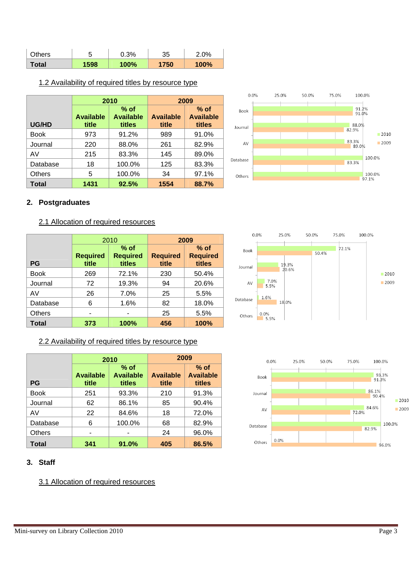| Others |      | 0.3% | 35   | 2.0% |
|--------|------|------|------|------|
| Total  | 1598 | 100% | 1750 | 100% |

## 1.2 Availability of required titles by resource type

|               | 2010                      |                                      | 2009                      |                                      |  |
|---------------|---------------------------|--------------------------------------|---------------------------|--------------------------------------|--|
| <b>UG/HD</b>  | <b>Available</b><br>title | $%$ of<br><b>Available</b><br>titles | <b>Available</b><br>title | $%$ of<br><b>Available</b><br>titles |  |
| <b>Book</b>   | 973                       | 91.2%                                | 989                       | 91.0%                                |  |
| Journal       | 220                       | 88.0%                                | 261                       | 82.9%                                |  |
| AV            | 215                       | 83.3%                                | 145                       | 89.0%                                |  |
| Database      | 18                        | 100.0%                               | 125                       | 83.3%                                |  |
| <b>Others</b> | 5                         | 100.0%                               | 34                        | 97.1%                                |  |
| Total         | 1431                      | 92.5%                                | 1554                      | 88.7%                                |  |



## **2. Postgraduates**

## 2.1 Allocation of required resources

|               | 2010                     |                                     | 2009                     |                                     |  |
|---------------|--------------------------|-------------------------------------|--------------------------|-------------------------------------|--|
| <b>PG</b>     | <b>Required</b><br>title | $%$ of<br><b>Required</b><br>titles | <b>Required</b><br>title | $%$ of<br><b>Required</b><br>titles |  |
| <b>Book</b>   | 269                      | 72.1%                               | 230                      | 50.4%                               |  |
| Journal       | 72                       | 19.3%                               | 94                       | 20.6%                               |  |
| AV            | 26                       | 7.0%                                | 25                       | 5.5%                                |  |
| Database      | 6                        | 1.6%                                | 82                       | 18.0%                               |  |
| <b>Others</b> |                          |                                     | 25                       | 5.5%                                |  |
| <b>Total</b>  | 373                      | 100%                                | 456                      | 100%                                |  |

## 2.2 Availability of required titles by resource type

|               | 2010                      |                                      | 2009                      |                                      |  |
|---------------|---------------------------|--------------------------------------|---------------------------|--------------------------------------|--|
| <b>PG</b>     | <b>Available</b><br>title | $%$ of<br><b>Available</b><br>titles | <b>Available</b><br>title | $%$ of<br><b>Available</b><br>titles |  |
| <b>Book</b>   | 251                       | 93.3%                                | 210                       | 91.3%                                |  |
| Journal       | 62                        | 86.1%                                | 85                        | 90.4%                                |  |
| AV            | 22                        | 84.6%                                | 18                        | 72.0%                                |  |
| Database      | 6                         | 100.0%                               | 68                        | 82.9%                                |  |
| <b>Others</b> |                           |                                      | 24                        | 96.0%                                |  |
| Total         | 341                       | 91.0%                                | 405                       | 86.5%                                |  |

## **3. Staff**

3.1 Allocation of required resources



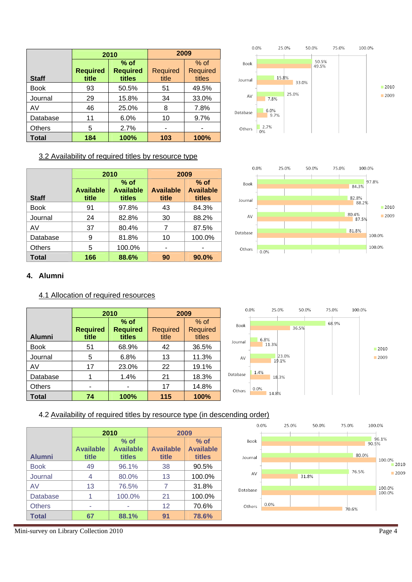|               | 2010                     |                                     | 2009                     |                              |
|---------------|--------------------------|-------------------------------------|--------------------------|------------------------------|
| <b>Staff</b>  | <b>Required</b><br>title | $%$ of<br><b>Required</b><br>titles | <b>Required</b><br>title | $%$ of<br>Required<br>titles |
| <b>Book</b>   | 93                       | 50.5%                               | 51                       | 49.5%                        |
| Journal       | 29                       | 15.8%                               | 34                       | 33.0%                        |
| AV            | 46                       | 25.0%                               | 8                        | 7.8%                         |
| Database      | 11                       | 6.0%                                | 10                       | 9.7%                         |
| <b>Others</b> | 5                        | 2.7%                                |                          |                              |
| Total         | 184                      | 100%                                | 103                      | 100%                         |



## 3.2 Availability of required titles by resource type

|              | 2010                      |                                      | 2009                      |                                      |
|--------------|---------------------------|--------------------------------------|---------------------------|--------------------------------------|
| <b>Staff</b> | <b>Available</b><br>title | $%$ of<br><b>Available</b><br>titles | <b>Available</b><br>title | $%$ of<br><b>Available</b><br>titles |
| Book         | 91                        | 97.8%                                | 43                        | 84.3%                                |
| Journal      | 24                        | 82.8%                                | 30                        | 88.2%                                |
| AV           | 37                        | 80.4%                                | 7                         | 87.5%                                |
| Database     | 9                         | 81.8%                                | 10                        | 100.0%                               |
| Others       | 5                         | 100.0%                               |                           |                                      |
| Total        | 166                       | 88.6%                                | 90                        | 90.0%                                |



## **4. Alumni**

#### 4.1 Allocation of required resources

|               | 2010                     |                                     | 2009                     |                                     |
|---------------|--------------------------|-------------------------------------|--------------------------|-------------------------------------|
| <b>Alumni</b> | <b>Required</b><br>title | $%$ of<br><b>Required</b><br>titles | <b>Required</b><br>title | $%$ of<br><b>Required</b><br>titles |
| <b>Book</b>   | 51                       | 68.9%                               | 42                       | 36.5%                               |
| Journal       | 5                        | 6.8%                                | 13                       | 11.3%                               |
| AV            | 17                       | 23.0%                               | 22                       | 19.1%                               |
| Database      |                          | 1.4%                                | 21                       | 18.3%                               |
| <b>Others</b> |                          |                                     | 17                       | 14.8%                               |
| Total         | 74                       | 100%                                | 115                      | 100%                                |



## 4.2 Availability of required titles by resource type (in descending order)

|                 |                           | 2010                                 |                           | 2009                                 |  |  |
|-----------------|---------------------------|--------------------------------------|---------------------------|--------------------------------------|--|--|
| <b>Alumni</b>   | <b>Available</b><br>title | $%$ of<br><b>Available</b><br>titles | <b>Available</b><br>title | $%$ of<br><b>Available</b><br>titles |  |  |
| <b>Book</b>     | 49                        | 96.1%                                | 38                        | 90.5%                                |  |  |
| Journal         | 4                         | 80.0%                                | 13                        | 100.0%                               |  |  |
| AV              | 13                        | 76.5%                                |                           | 31.8%                                |  |  |
| <b>Database</b> |                           | 100.0%                               | 21                        | 100.0%                               |  |  |
| <b>Others</b>   |                           |                                      | 12                        | 70.6%                                |  |  |
| <b>Total</b>    | 67                        | 88.1%                                | 91                        | 78.6%                                |  |  |



Mini-survey on Library Collection 2010 Page 4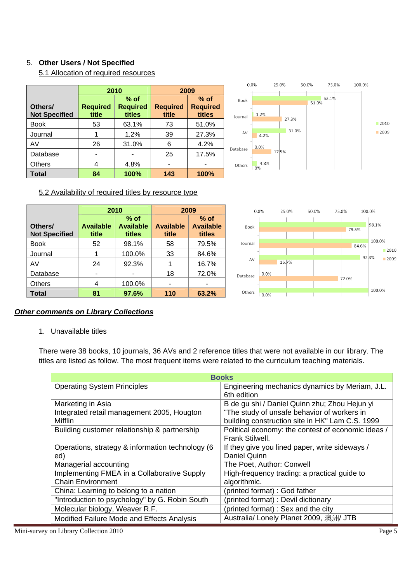## 5. **Other Users / Not Specified**

5.1 Allocation of required resources

|                                 | 2010                     |                                     | 2009                     |                                     |  |
|---------------------------------|--------------------------|-------------------------------------|--------------------------|-------------------------------------|--|
| Others/<br><b>Not Specified</b> | <b>Required</b><br>title | $%$ of<br><b>Required</b><br>titles | <b>Required</b><br>title | $%$ of<br><b>Required</b><br>titles |  |
| <b>Book</b>                     | 53                       | 63.1%                               | 73                       | 51.0%                               |  |
| Journal                         |                          | 1.2%                                | 39                       | 27.3%                               |  |
| AV                              | 26                       | 31.0%                               | 6                        | 4.2%                                |  |
| Database                        |                          |                                     | 25                       | 17.5%                               |  |
| <b>Others</b>                   | 4                        | 4.8%                                |                          |                                     |  |
| <b>Total</b>                    | 84                       | 100%                                | 143                      | 100%                                |  |



### 5.2 Availability of required titles by resource type

|                                 |                           | 2010                                 |                           | 2009                                 |          | 0.0%  | 25.0% | 50.0% | 75.0% | 100.0%        |
|---------------------------------|---------------------------|--------------------------------------|---------------------------|--------------------------------------|----------|-------|-------|-------|-------|---------------|
| Others/<br><b>Not Specified</b> | <b>Available</b><br>title | $%$ of<br><b>Available</b><br>titles | <b>Available</b><br>title | $%$ of<br><b>Available</b><br>titles | Book     |       |       |       | 79.5% | 98.1%         |
| <b>Book</b>                     | 52                        | 98.1%                                | 58                        | 79.5%                                | Journal  |       |       |       | 84.6% | 100.0%        |
| Journal                         |                           | 100.0%                               | 33                        | 84.6%                                |          |       |       |       |       | 2010<br>92.3% |
| AV                              | 24                        | 92.3%                                |                           | 16.7%                                | AV       | 16.7% |       |       |       | 2009          |
| Database                        | ۰                         |                                      | 18                        | 72.0%                                | Database | 0.0%  |       |       |       |               |
| <b>Others</b>                   | 4                         | 100.0%                               | -                         | ٠                                    |          |       |       |       | 72.0% |               |
| <b>Total</b>                    | 81                        | 97.6%                                | 110                       | 63.2%                                | Others   | 0.0%  |       |       |       | 100.0%        |

## *Other comments on Library Collections*

## 1. Unavailable titles

There were 38 books, 10 journals, 36 AVs and 2 reference titles that were not available in our library. The titles are listed as follow. The most frequent items were related to the curriculum teaching materials.

| <b>Books</b>                                                            |                                                                                                |  |  |  |
|-------------------------------------------------------------------------|------------------------------------------------------------------------------------------------|--|--|--|
| <b>Operating System Principles</b>                                      | Engineering mechanics dynamics by Meriam, J.L.<br>6th edition                                  |  |  |  |
| Marketing in Asia                                                       | B de gu shi / Daniel Quinn zhu; Zhou Hejun yi                                                  |  |  |  |
| Integrated retail management 2005, Hougton<br>Mifflin                   | "The study of unsafe behavior of workers in<br>building construction site in HK" Lam C.S. 1999 |  |  |  |
| Building customer relationship & partnership                            | Political economy: the contest of economic ideas /<br>Frank Stilwell.                          |  |  |  |
| Operations, strategy & information technology (6<br>ed)                 | If they give you lined paper, write sideways /<br>Daniel Quinn                                 |  |  |  |
| Managerial accounting                                                   | The Poet, Author: Conwell                                                                      |  |  |  |
| Implementing FMEA in a Collaborative Supply<br><b>Chain Environment</b> | High-frequency trading: a practical guide to<br>algorithmic.                                   |  |  |  |
| China: Learning to belong to a nation                                   | (printed format) : God father                                                                  |  |  |  |
| "Introduction to psychology" by G. Robin South                          | (printed format) : Devil dictionary                                                            |  |  |  |
| Molecular biology, Weaver R.F.                                          | (printed format): Sex and the city                                                             |  |  |  |
| Modified Failure Mode and Effects Analysis                              | Australia/ Lonely Planet 2009, 澳洲/ JTB                                                         |  |  |  |
| Mini-survey on Library Collection 2010                                  | Page 5                                                                                         |  |  |  |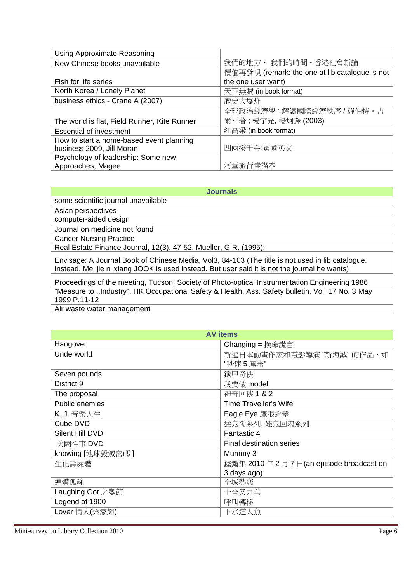| Using Approximate Reasoning                  |                                                |
|----------------------------------------------|------------------------------------------------|
| New Chinese books unavailable                | 我們的地方 · 我們的時間 - 香港社會新論                         |
|                                              | 價值再發現 (remark: the one at lib catalogue is not |
| Fish for life series                         | the one user want)                             |
| North Korea / Lonely Planet                  | 天下無賊 (in book format)                          |
| business ethics - Crane A (2007)             | 歷史大爆炸                                          |
|                                              | 全球政治經濟學:解讀國際經濟秩序 / 羅伯特。吉                       |
| The world is flat, Field Runner, Kite Runner | 爾平著;楊宇光,楊炯譯 (2003)                             |
| <b>Essential of investment</b>               | 紅高梁 (in book format)                           |
| How to start a home-based event planning     |                                                |
| business 2009, Jill Moran                    | 四兩撥千金:黃國英文                                     |
| Psychology of leadership: Some new           |                                                |
| Approaches, Magee                            | 河童旅行素描本                                        |

|  | <b>Journals</b> |  |
|--|-----------------|--|
|--|-----------------|--|

some scientific journal unavailable

Asian perspectives

computer-aided design

Journal on medicine not found

Cancer Nursing Practice

Real Estate Finance Journal, 12(3), 47-52, Mueller, G.R. (1995);

Envisage: A Journal Book of Chinese Media, Vol3, 84-103 (The title is not used in lib catalogue. Instead, Mei jie ni xiang JOOK is used instead. But user said it is not the journal he wants)

Proceedings of the meeting, Tucson; Society of Photo-optical Instrumentation Engineering 1986 "Measure to ..Industry", HK Occupational Safety & Health, Ass. Safety bulletin, Vol. 17 No. 3 May 1999 P.11-12

Air waste water management

| <b>AV</b> items  |                                       |  |  |  |  |
|------------------|---------------------------------------|--|--|--|--|
| Hangover         | <b>Changing</b> = 換命謊言                |  |  |  |  |
| Underworld       | 新進日本動畫作家和電影導演 "新海誠" 的作品, 如            |  |  |  |  |
|                  | "秒速5厘米"                               |  |  |  |  |
| Seven pounds     | 鐵甲奇俠                                  |  |  |  |  |
| District 9       | 我要做 model                             |  |  |  |  |
| The proposal     | 神奇回俠 1 & 2                            |  |  |  |  |
| Public enemies   | <b>Time Traveller's Wife</b>          |  |  |  |  |
| K. J. 音樂人生       | Eagle Eye 鷹眼追擊                        |  |  |  |  |
| Cube DVD         | 猛鬼街系列,娃鬼回魂系列                          |  |  |  |  |
| Silent Hill DVD  | Fantastic 4                           |  |  |  |  |
| 美國往事 DVD         | Final destination series              |  |  |  |  |
| knowing [地球毀滅密碼] | Mummy 3                               |  |  |  |  |
| 生化壽屍體            | 鏗鏘集 2010年2月7日(an episode broadcast on |  |  |  |  |
|                  | 3 days ago)                           |  |  |  |  |
| 連體孤魂             | 全城熱恋                                  |  |  |  |  |
| Laughing Gor 之變節 | 十全又九美                                 |  |  |  |  |
| Legend of 1900   | 呼叫轉移                                  |  |  |  |  |
| Lover 情人(梁家輝)    | 下水道人魚                                 |  |  |  |  |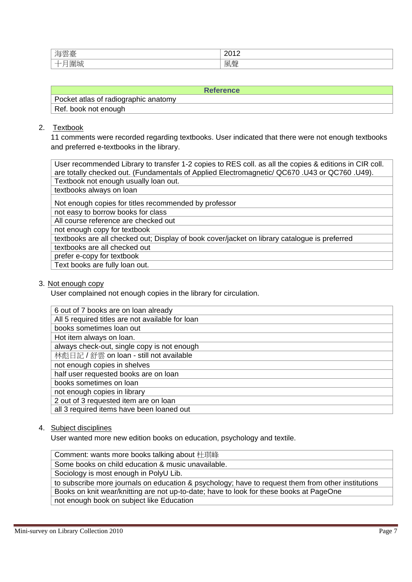| $\sim$<br>$\overline{\phantom{a}}$ | .<br>$\sim$ $\sim$<br>- -<br>. .<br>the contract of the contract of the |
|------------------------------------|-------------------------------------------------------------------------|
|                                    | 風<br>士尸<br>学                                                            |

| <b>Reference</b>                     |
|--------------------------------------|
| Pocket atlas of radiographic anatomy |
| Ref. book not enough                 |

# 2. Textbook

11 comments were recorded regarding textbooks. User indicated that there were not enough textbooks and preferred e-textbooks in the library.

| User recommended Library to transfer 1-2 copies to RES coll. as all the copies & editions in CIR coll. |  |  |  |  |  |
|--------------------------------------------------------------------------------------------------------|--|--|--|--|--|
| are totally checked out. (Fundamentals of Applied Electromagnetic/ QC670 .U43 or QC760 .U49).          |  |  |  |  |  |
| Textbook not enough usually loan out.                                                                  |  |  |  |  |  |
| textbooks always on loan                                                                               |  |  |  |  |  |
| Not enough copies for titles recommended by professor                                                  |  |  |  |  |  |
| not easy to borrow books for class                                                                     |  |  |  |  |  |
| All course reference are checked out                                                                   |  |  |  |  |  |
| not enough copy for textbook                                                                           |  |  |  |  |  |
| textbooks are all checked out; Display of book cover/jacket on library catalogue is preferred          |  |  |  |  |  |
| textbooks are all checked out                                                                          |  |  |  |  |  |
| prefer e-copy for textbook                                                                             |  |  |  |  |  |
| Text books are fully loan out.                                                                         |  |  |  |  |  |

## 3. Not enough copy

User complained not enough copies in the library for circulation.

| 6 out of 7 books are on loan already             |
|--------------------------------------------------|
| All 5 required titles are not available for loan |
| books sometimes loan out                         |
| Hot item always on loan.                         |
| always check-out, single copy is not enough      |
| 林彪日記 / 舒雲 on loan - still not available          |
| not enough copies in shelves                     |
| half user requested books are on loan            |
| books sometimes on loan                          |
| not enough copies in library                     |
| 2 out of 3 requested item are on loan            |
| all 3 required items have been loaned out        |

## 4. Subject disciplines

User wanted more new edition books on education, psychology and textile.

| Comment: wants more books talking about 杜琪峰                                                        |
|----------------------------------------------------------------------------------------------------|
| Some books on child education & music unavailable.                                                 |
| Sociology is most enough in PolyU Lib.                                                             |
| to subscribe more journals on education & psychology; have to request them from other institutions |
| Books on knit wear/knitting are not up-to-date; have to look for these books at PageOne            |
| not enough book on subject like Education                                                          |
|                                                                                                    |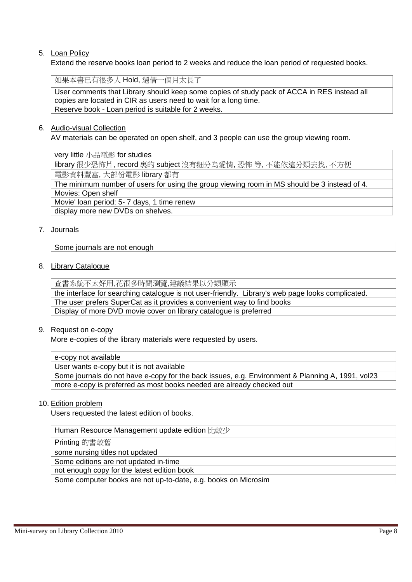### 5. Loan Policy

Extend the reserve books loan period to 2 weeks and reduce the loan period of requested books.

如果本書已有很多人 Hold, 還借一個月太長了

User comments that Library should keep some copies of study pack of ACCA in RES instead all copies are located in CIR as users need to wait for a long time. Reserve book - Loan period is suitable for 2 weeks.

#### 6. Audio-visual Collection

AV materials can be operated on open shelf, and 3 people can use the group viewing room.

very little 小品電影 for studies

library 很少恐怖片, record 裏的 subject 沒有細分為愛情, 恐怖 等, 不能依這分類去找, 不方便 電影資料豐富, 大部份電影 library 都有

The minimum number of users for using the group viewing room in MS should be 3 instead of 4. Movies: Open shelf Movie' loan period: 5- 7 days, 1 time renew

display more new DVDs on shelves.

#### 7. Journals

Some journals are not enough

8. Library Catalogue

查書系統不太好用,花很多時間瀏覽,建議結果以分類顯示

the interface for searching catalogue is not user-friendly. Library's web page looks complicated. The user prefers SuperCat as it provides a convenient way to find books Display of more DVD movie cover on library catalogue is preferred

9. Request on e-copy

More e-copies of the library materials were requested by users.

| $\vert$ e-copy not available |  |  |
|------------------------------|--|--|
|                              |  |  |

User wants e-copy but it is not available

Some journals do not have e-copy for the back issues, e.g. Environment & Planning A, 1991, vol23 more e-copy is preferred as most books needed are already checked out

#### 10. Edition problem

Users requested the latest edition of books.

Human Resource Management update edition 比較少

Printing 的書較舊

some nursing titles not updated

Some editions are not updated in-time

not enough copy for the latest edition book

Some computer books are not up-to-date, e.g. books on Microsim